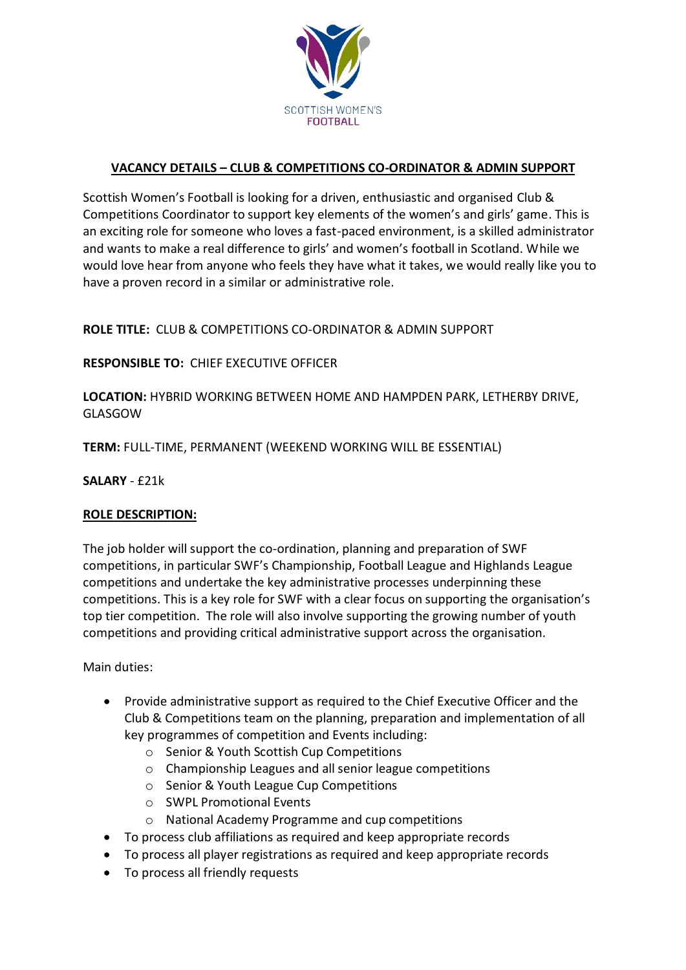

# **VACANCY DETAILS – CLUB & COMPETITIONS CO-ORDINATOR & ADMIN SUPPORT**

Scottish Women's Football is looking for a driven, enthusiastic and organised Club & Competitions Coordinator to support key elements of the women's and girls' game. This is an exciting role for someone who loves a fast-paced environment, is a skilled administrator and wants to make a real difference to girls' and women's football in Scotland. While we would love hear from anyone who feels they have what it takes, we would really like you to have a proven record in a similar or administrative role.

## **ROLE TITLE:** CLUB & COMPETITIONS CO-ORDINATOR & ADMIN SUPPORT

### **RESPONSIBLE TO:** CHIEF EXECUTIVE OFFICER

**LOCATION:** HYBRID WORKING BETWEEN HOME AND HAMPDEN PARK, LETHERBY DRIVE, GLASGOW

**TERM:** FULL-TIME, PERMANENT (WEEKEND WORKING WILL BE ESSENTIAL)

**SALARY** - £21k

#### **ROLE DESCRIPTION:**

The job holder will support the co-ordination, planning and preparation of SWF competitions, in particular SWF's Championship, Football League and Highlands League competitions and undertake the key administrative processes underpinning these competitions. This is a key role for SWF with a clear focus on supporting the organisation's top tier competition. The role will also involve supporting the growing number of youth competitions and providing critical administrative support across the organisation.

Main duties:

- Provide administrative support as required to the Chief Executive Officer and the Club & Competitions team on the planning, preparation and implementation of all key programmes of competition and Events including:
	- o Senior & Youth Scottish Cup Competitions
	- o Championship Leagues and all senior league competitions
	- o Senior & Youth League Cup Competitions
	- o SWPL Promotional Events
	- o National Academy Programme and cup competitions
- To process club affiliations as required and keep appropriate records
- To process all player registrations as required and keep appropriate records
- To process all friendly requests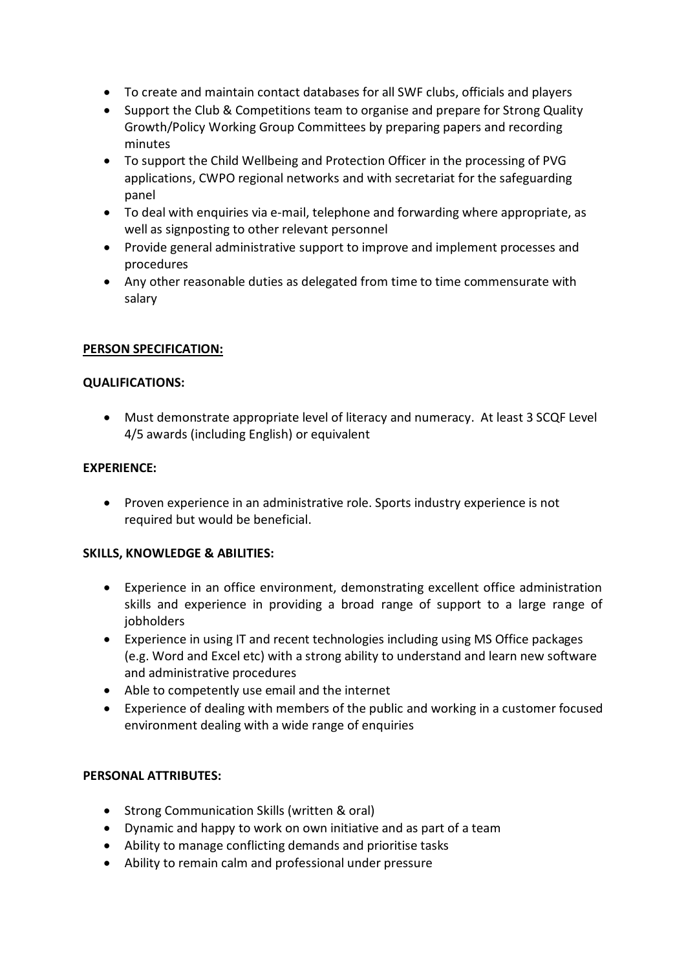- To create and maintain contact databases for all SWF clubs, officials and players
- Support the Club & Competitions team to organise and prepare for Strong Quality Growth/Policy Working Group Committees by preparing papers and recording minutes
- To support the Child Wellbeing and Protection Officer in the processing of PVG applications, CWPO regional networks and with secretariat for the safeguarding panel
- To deal with enquiries via e-mail, telephone and forwarding where appropriate, as well as signposting to other relevant personnel
- Provide general administrative support to improve and implement processes and procedures
- Any other reasonable duties as delegated from time to time commensurate with salary

## **PERSON SPECIFICATION:**

## **QUALIFICATIONS:**

• Must demonstrate appropriate level of literacy and numeracy. At least 3 SCQF Level 4/5 awards (including English) or equivalent

### **EXPERIENCE:**

• Proven experience in an administrative role. Sports industry experience is not required but would be beneficial.

## **SKILLS, KNOWLEDGE & ABILITIES:**

- Experience in an office environment, demonstrating excellent office administration skills and experience in providing a broad range of support to a large range of jobholders
- Experience in using IT and recent technologies including using MS Office packages (e.g. Word and Excel etc) with a strong ability to understand and learn new software and administrative procedures
- Able to competently use email and the internet
- Experience of dealing with members of the public and working in a customer focused environment dealing with a wide range of enquiries

## **PERSONAL ATTRIBUTES:**

- Strong Communication Skills (written & oral)
- Dynamic and happy to work on own initiative and as part of a team
- Ability to manage conflicting demands and prioritise tasks
- Ability to remain calm and professional under pressure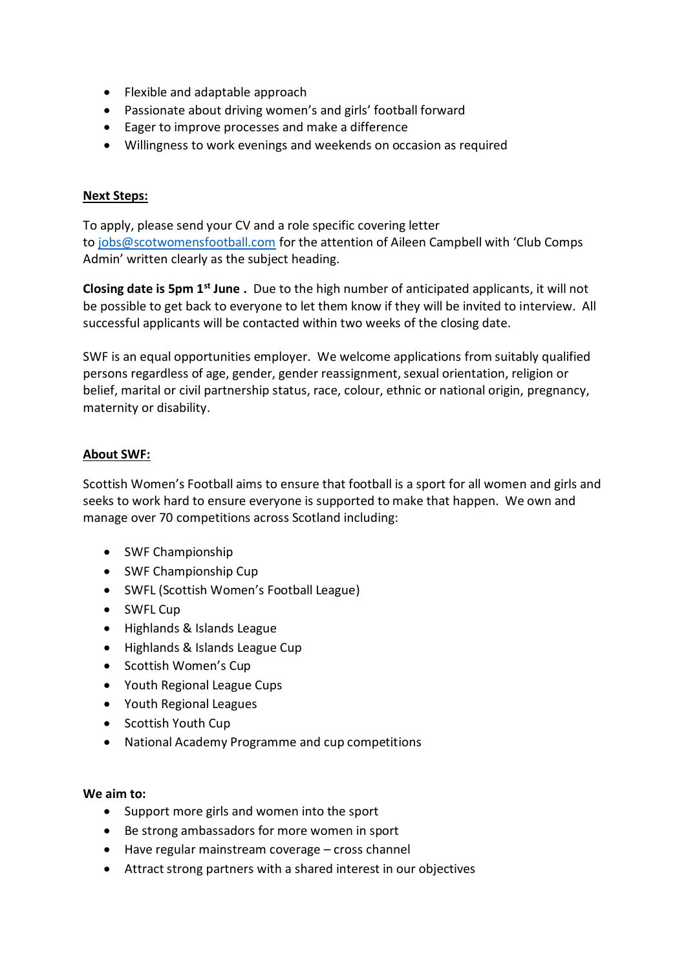- Flexible and adaptable approach
- Passionate about driving women's and girls' football forward
- Eager to improve processes and make a difference
- Willingness to work evenings and weekends on occasion as required

### **Next Steps:**

To apply, please send your CV and a role specific covering letter to [jobs@scotwomensfootball.com](mailto:jobs@scotwomensfootball.com) for the attention of Aileen Campbell with 'Club Comps Admin' written clearly as the subject heading.

**Closing date is 5pm 1 st June .** Due to the high number of anticipated applicants, it will not be possible to get back to everyone to let them know if they will be invited to interview. All successful applicants will be contacted within two weeks of the closing date.

SWF is an equal opportunities employer. We welcome applications from suitably qualified persons regardless of age, gender, gender reassignment, sexual orientation, religion or belief, marital or civil partnership status, race, colour, ethnic or national origin, pregnancy, maternity or disability.

## **About SWF:**

Scottish Women's Football aims to ensure that football is a sport for all women and girls and seeks to work hard to ensure everyone is supported to make that happen. We own and manage over 70 competitions across Scotland including:

- SWF Championship
- SWF Championship Cup
- SWFL (Scottish Women's Football League)
- SWFL Cup
- Highlands & Islands League
- Highlands & Islands League Cup
- Scottish Women's Cup
- Youth Regional League Cups
- Youth Regional Leagues
- Scottish Youth Cup
- National Academy Programme and cup competitions

#### **We aim to:**

- Support more girls and women into the sport
- Be strong ambassadors for more women in sport
- Have regular mainstream coverage cross channel
- Attract strong partners with a shared interest in our objectives